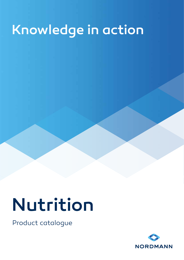# Knowledge in action

# Nutrition

Product catalogue

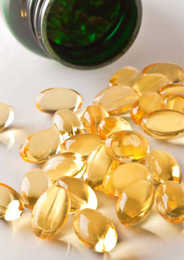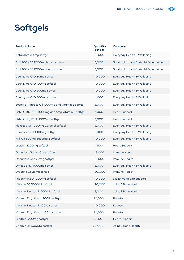O



| <b>Product Name</b>                                | Quantity<br>per box | Category                             |
|----------------------------------------------------|---------------------|--------------------------------------|
| Astaxanthin 4mg softgel                            | 15,000              | Everyday Health & Wellbeing          |
| CLA 80% EE 1000mg brown softgel                    | 6,000               | Sports Nutrition & Weight Management |
| CLA 80% EE 1000mg clear softgel                    | 6,000               | Sports Nutrition & Weight Management |
| Coenzyme Q10 30mg softgel                          | 10,000              | Everyday Health & Wellbeing          |
| Coenzyme Q10 100mg softgel                         | 10,000              | Everyday Health & Wellbeing          |
| Coenzyme Q10 200mg softgel                         | 10,000              | Everyday Health & Wellbeing          |
| Coenzyme Q10 300mg softgel                         | 4,000               | Everyday Health & Wellbeing          |
| Evening Primrose Oil 1000mg and Vitamin E softgel  | 6,000               | Everyday Health & Wellbeing          |
| Fish Oil 18/12 EE 1000mg and 5mg Vitamin E softgel | 6,000               | <b>Heart Support</b>                 |
| Fish Oil 33/22 EE 1000mg softgel                   | 6,000               | <b>Heart Support</b>                 |
| Flaxseed Oil 1000mg Caramel softgel                | 6,000               | Everyday Health & Wellbeing          |
| Hempseed Oil 1000mg softgel                        | 5,000               | Everyday Health & Wellbeing          |
| Krill Oil 500mg Superba 2 softgel                  | 10,000              | Everyday Health & Wellbeing          |
| Lecithin 1200mg softgel                            | 4,500               | <b>Heart Support</b>                 |
| Odourless Garlic 10mg softgel                      | 15,000              | Immune Health                        |
| Odourless Garlic 2mg softgel                       | 15,000              | Immune Health                        |
| Omega 3,6,9 1000mg softgel                         | 6,000               | Everyday Health & Wellbeing          |
| Oregano Oil 25mg softgel                           | 30,000              | Immune Health                        |
| Peppermint Oil 200mg softgel                       | 10,000              | Digestive Health support             |
| Vitamin D3 5000IU softgel                          | 20,000              | Joint & Bone Health                  |
| Vitamin E natural 1000IU softgel                   | 5,000               | Joint & Bone Health                  |
| Vitamin E synthetic 200IU softgel                  | 10,000              | Beauty                               |
| Vitamin E natural 400IU softgel                    | 10,000              | Beauty                               |
| Vitamin E synthetic 400IU softgel                  | 10,000              | Beauty                               |
| Lecithin 1200mg softgel                            | 4,500               | <b>Heart Support</b>                 |
| Vitamin D3 5000IU softgel                          | 20,000              | Joint & Bone Health                  |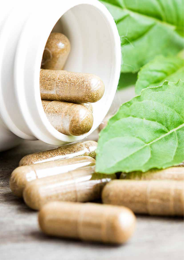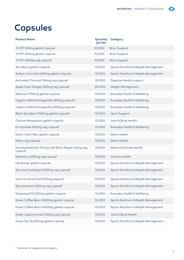$\bullet$ 

### **Capsules**

| <b>Product Name</b>                                           | Quantity<br>per box | Category                             |
|---------------------------------------------------------------|---------------------|--------------------------------------|
| 5 HTP 100mg gelatin capsule                                   | 10,000              | <b>Brain Support</b>                 |
| 5 HTP 200mg gelatin capsule                                   | 10,000              | <b>Brain Support</b>                 |
| 5 HTP 400mg veg capsule*                                      | 10,000              | <b>Brain Support</b>                 |
| Acai Berry gelatin capsule                                    | 10,000              | Sports Nutrition & Weight Management |
| Acetyl L Carnitine 500mg gelatin capsule                      | 10,000              | Sports Nutrition & Weight Management |
| Activated Charcoal 334mg veg capsule*                         | 10,000              | Digestive Health support             |
| Apple Cider Vinegar 500mg veg capsule*                        | 50,000              | Weight Management                    |
| Beetroot 3750mg gelatin capsule                               | 10,000              | Everyday Health & Wellbeing          |
| Organic KSM Ashwagandha 300mg capsule*                        | 10,000              | Everyday Health & Wellbeing          |
| Organic KSM Ashwagandha 500mg capsule*                        | 10,000              | Everyday Health & Wellbeing          |
| Black Soy Bean 1000mg gelatin capsule*                        | 10,000              | <b>Heart Support</b>                 |
| Calcium Magnesium gelatin capsule                             | 10,000              | Joint & Bone Health                  |
| D-mannose 500mg veg capsule*                                  | 10,000              | Everyday Health & Wellbeing          |
| Detox Colon Max gelatin capsule                               | 10,000              | Detox Health                         |
| Detox veg capsule*                                            | 10,000              | Detox Health                         |
| Diindolylmethane 150mg with Black Pepper 20mg veg<br>capsule* | 10,000              | Male and Female Health               |
| Elderberry 600mg veg capsule*                                 | 10,000              | Immune Health                        |
| Fat Burner gelatin capsule                                    | 10,000              | Sports Nutrition & Weight Management |
| Garcinia Cambogia 1000mg veg capsule*                         | 10,000              | Sports Nutrition & Weight Management |
| Garcinia whole fruit 500mg capsule*                           | 10,000              | Sports Nutrition & Weight Management |
| Glucomannan 500mg veg capsule*                                | 10,000              | Sports Nutrition & Weight Management |
| Grapeseed 10,000mg gelatin capsule                            | 10,000              | Everyday Health & Wellbeing          |
| Green Coffee Bean 1000mg gelatin capsule                      | 10,000              | Sports Nutrition & Weight Management |
| Green Coffee Bean 6000mg gelatin capsule                      | 10,000              | Sports Nutrition & Weight Management |
| Green Lipped mussel 500mg veg capsule                         | 10,000              | Joint & Bone Health                  |
| Green Tea 15,000mg gelatin capsule                            | 10,000              | Sports Nutrition & Weight Management |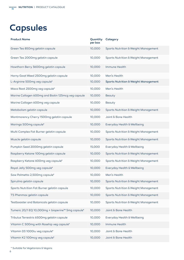### Capsules

| <b>Product Name</b>                                 | Quantity<br>per box | Category                             |
|-----------------------------------------------------|---------------------|--------------------------------------|
| Green Tea 850mg gelatin capsule                     | 10,000              | Sports Nutrition & Weight Management |
| Green Tea 2000mg gelatin capsule                    | 10,000              | Sports Nutrition & Weight Management |
| Hawthorn Berry 3600mg gelatin capsule               | 10,000              | Immune Health                        |
| Horny Goat Weed 2500mg gelatin capsule              | 10,000              | Men's Health                         |
| L-Arginine 500mg veg capsule*                       | 10,000              | Sports Nutrition & Weight Management |
| Maca Root 2500mg veg capsule*                       | 10,000              | Men's Health                         |
| Marine Collagen 600mg and Biotin 125mcg veg capsule | 10,000              | Beauty                               |
| Marine Collagen 600mg veg capsule                   | 10,000              | Beauty                               |
| Metabolism gelatin capsule                          | 10,000              | Sports Nutrition & Weight Management |
| Montmorency Cherry 1500mg gelatin capsule           | 10,000              | Joint & Bone Health                  |
| Moringa 500mg capsule*                              | 10,000              | Everyday Health & Wellbeing          |
| Multi Complex Fat Burner gelatin capsule            | 10,000              | Sports Nutrition & Weight Management |
| Muscle gelatin capsule                              | 10,000              | Sports Nutrition & Weight Management |
| Pumpkin Seed 2000mg gelatin capsule                 | 15,000              | Everyday Health & Wellbeing          |
| Raspberry Ketone 100mg gelatin capsule              | 10,000              | Sports Nutrition & Weight Management |
| Raspberry Ketone 600mg veg capsule*                 | 10,000              | Sports Nutrition & Weight Management |
| Royal Jelly 500mg veg capsule*                      | 10,000              | Everyday Health & Wellbeing          |
| Saw Palmetto 2,500mg capsule*                       | 10,000              | Men's Health                         |
| Spirulina gelatin capsule                           | 10,000              | Sports Nutrition & Weight Management |
| Sports Nutrition Fat Burner gelatin capsule         | 10,000              | Sports Nutrition & Weight Management |
| T5 Phenmax gelatin capsule                          | 10,000              | Sports Nutrition & Weight Management |
| Testbooster and Botanicals gelatin capsule          | 10,000              | Sports Nutrition & Weight Management |
| Tumeric 20/1 EQ 10,000mg + bioperine™ 5mg capsule*  | 10,000              | Joint & Bone Health                  |
| Tribulus Terrestris 6500mg gelatin capsule          | 10,000              | Everyday Health & Wellbeing          |
| Vitamin C 500mg with Rosehip veg capsule*           | 10,000              | Immune Health                        |
| Vitamin D3 1000iu veg capsule*                      | 10,000              | Joint & Bone Health                  |
| Vitamin K2 100mcg veg capsule*                      | 10,000              | Joint & Bone Health                  |

\* Suitable for Vegetarians & Vegans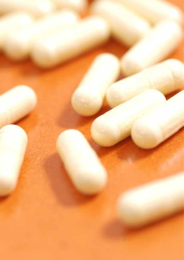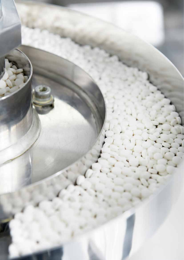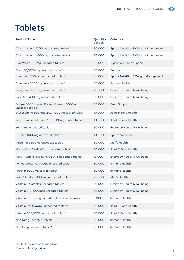o

### **Tablets**

| <b>Product Name</b>                                         | Quantity<br>per box | Category                                        |
|-------------------------------------------------------------|---------------------|-------------------------------------------------|
| African Mango 1200mg uncoated tablet*                       | 50,000              | Sports Nutrition & Weight Management            |
| African Mango 6000mg uncoated tablet*                       | 50,000              | Sports Nutrition & Weight Management            |
| Aloe Vera 6000mg uncoated tablet*                           | 50,000              | Digestive Health support                        |
| Biotin 10,000mcg uncoated tablet*                           | 50,000              | Beauty                                          |
| Chromium 200mcg uncoated tablet*                            | 50,000              | <b>Sports Nutrition &amp; Weight Management</b> |
| Cranberry 5000mg uncoated tablet*                           | 50,000              | Female Health                                   |
| Fenugreek 1000mg uncoated tablet*                           | 25,000              | Everyday Health & Wellbeing                     |
| Folic Acid 400mcg uncoated tablet*                          | 50,000              | Everyday Health & Wellbeing                     |
| Gingko 3000mg and Korean Ginseng 1000mg<br>uncoated tablet* | 50,000              | <b>Brain Support</b>                            |
| Glucosamine Sulphate 2KCI 1000mg coated tablet              | 10,000              | Joint & Bone Health                             |
| Glucosamine Sulphate 2KCI 1500mg coated tablet              | 10,000              | Joint & Bone Health                             |
| Iron 14mg uncoated tablet*                                  | 50,000              | Everyday Health & Wellbeing                     |
| L Lysine 1000mg uncoated tablet**                           | 10,000              | <b>Sports Nutrition</b>                         |
| Maca Root 500mg uncoated tablet*                            | 50,000              | Men's Health                                    |
| Magnesium Oxide 60mg uncoated tablet*                       | 50,000              | Joint & Bone Health                             |
| Multi Vitamins and Minerals A-Zinc coated tablet*           | 12,000              | Everyday Health & Wellbeing                     |
| Pomegranate 10,000mg uncoated tablet*                       | 50,000              | Immune Health                                   |
| Rosehip 5000mg coated tablet*                               | 30,000              | Immune Health                                   |
| Saw Palmetto 3,000mg uncoated tablet*                       | 25,000              | Men's Health                                    |
| Vitamin B Complex uncoated tablet*                          | 50,000              | Everyday Health & Wellbeing                     |
| Vitamin B12 1000mcg uncoated tablet*                        | 50,000              | Everyday Health & Wellbeing                     |
| Vitamin C 1000mg coated tablet (Time Release)*              | 5,000               | Immune Health                                   |
| Vitamin D3 10,000iu uncoated tablet**                       | 50,000              | Joint & Bone Health                             |
| Vitamin D3 1,000iu uncoated tablet**                        | 50,000              | Joint & Bone Health                             |
| Zinc 10mg uncoated tablet*                                  | 50,000              | Immune Health                                   |
| Zinc 15mg uncoated tablet*                                  | 50,000              | Immune Health                                   |

\* Suitable for Vegetarians & Vegans

\*\*Suitable for Vegetarians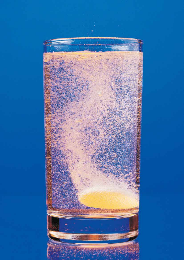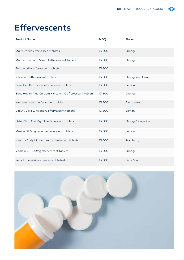o

### Effervescents

| <b>Product Name</b>                                       | <b>MOQ</b> | Flavour          |
|-----------------------------------------------------------|------------|------------------|
| Multivitamin effervescent tablets                         | 13,500     | Orange           |
| Multivitamin and Mineral effervescent tablets             | 13,500     | Orange           |
| Energy drink effervescent tablets                         | 13,500     |                  |
| Vitamin C effervescent tablets                            | 13,500     | Orange and Lemon |
| Bone Health Calcium effervescent tablets                  | 13,500     | Lemon            |
| Bone Health Plus Calcium + Vitamin C effervescent tablets | 13,500     | Orange           |
| Women's Health effervescent tablets                       | 13,500     | Blackcurrant     |
| Beauty Elixir Zinc and C effervescent tablets             | 13,500     | Lemon            |
| Osteo Vital Ca+Mg+D3 effervescent tablets                 | 13,500     | Orange/Tangerine |
| Muscle Fit Magnesium effervescent tablets                 | 13,500     | Lemon            |
| Healthy Body Multivitamin effervescent tablets            | 13,500     | Raspberry        |
| Vitamin C 1000mg effervescent tablets                     | 13,500     | Orange           |
| Rehydration drink effervescent tablets                    | 13,500     | Lime Mint        |

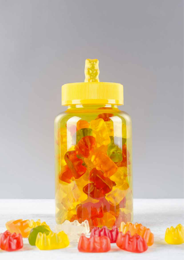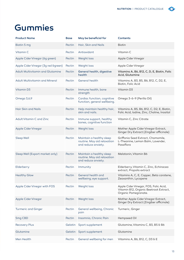### Gummies

| <b>Product Name</b>                  | Base    | May be beneficial for                                                          | Contents                                                                                                |
|--------------------------------------|---------|--------------------------------------------------------------------------------|---------------------------------------------------------------------------------------------------------|
| Biotin 5 mg                          | Pectin  | Hair, Skin and Nails                                                           | Biotin                                                                                                  |
| Vitamin C                            | Pectin  | Antioxidant                                                                    | Vitamin C                                                                                               |
| Apple Cider Vinegar (6g green)       | Pectin  | Weight loss                                                                    | Apple Cider Vinegar                                                                                     |
| Apple Cider Vinegar (3g red & green) | Pectin  | Weight loss                                                                    | Apple Cider Vinegar                                                                                     |
| Adult Multivitamin and Glutamine     | Pectin  | General health, digestive<br>health                                            | Vitamins A, B6, B12, C, D, E, Biotin, Folic<br>Acid, Glutamine                                          |
| Adult Multivitamin and Mineral       | Pectin  | General health                                                                 | Vitamins A, B3, B5, B6, B12, C, D2, E,<br>Biotin, Folic Acid                                            |
| Vitamin D3                           | Pectin  | Immune health, bone<br>strength                                                | Vitamin D3                                                                                              |
| Omega 3,6,9                          | Pectin  | Cardiac function, cognitive<br>function, general wellbeing.                    | Omega 3-6-9 (Perilla Oil)                                                                               |
| Hair Skin and Nails                  | Pectin  | Help maintain healthy hair,<br>skin and nails.                                 | Vitamins A, B5, B6, B12, C, D2, E, Biotin,<br>Folic Acid, Iodine, Zinc, Choline, Inositol               |
| Adult Vitamin C and Zinc             | Pectin  | Immune support, healthy<br>bones, cognitive function                           | Vitamin C, Zinc Citrate                                                                                 |
| Apple Cider Vinegar                  | Pectin  | Weight loss                                                                    | Mother Apple Cider Vinegar Extract,<br>Ginger Dry Extract (Zingiber officinale)                         |
| Sleep Well                           | Pectin  | Maintain a healthy sleep<br>routine. May aid relaxation<br>and reduce anxiety. | Griffonia Seed Extract, Chamomile,<br>L-Theanine, Lemon Balm, Lavender,<br>Passiflora                   |
| Sleep Well (Export market only)      | Pectin  | Maintain a healthy sleep<br>routine. May aid relaxation<br>and reduce anxiety. | Melatonin, Vitamin B6                                                                                   |
| Elderberry                           | Pectin  | Immunity                                                                       | Elderberry, Vitamin C, Zinc, Echinacea<br>extract, Propolis extract                                     |
| <b>Healthy Glow</b>                  | Pectin  | General health and<br>wellbeing; eye support.                                  | Vitamins A, C, E, Copper, Beta carotene,<br>Zeaxanthin, Lycopene                                        |
| Apple Cider Vinegar with FOS         | Pectin  | Weight loss                                                                    | Apple Cider Vinegar, FOS, Folic Acid,<br>Vitamin B12, Organic Beetroot Extract,<br>Organic Pomegranate. |
| Apple Cider Vinegar                  | Pectin  | Weight loss                                                                    | Mother Apple Cider Vinegar Extract,<br>Ginger Dry Extract (Zingiber officinale)                         |
| Turmeric and Ginger                  | Pectin  | General wellbeing, Chronic<br>pain                                             | Turmeric, Ginger                                                                                        |
| 5mg CBD                              | Pectin  | Insomnia, Chronic Pain                                                         | Hempseed Oil                                                                                            |
| Recovery Plus                        | Gelatin | Sport supplement                                                               | Glutamine, Vitamins C, B3, B5 & B6                                                                      |
| Glutamine                            | Gelatin | Sport supplement                                                               | Glutamine                                                                                               |
| Men Health                           | Pectin  | General wellbeing for men                                                      | Vitamins A, B6, B12, C, D3 & E                                                                          |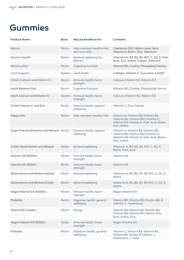### Gummies

| <b>Product Name</b>                        | <b>Base</b> | May be beneficial for                          | Contents                                                                                                                                |
|--------------------------------------------|-------------|------------------------------------------------|-----------------------------------------------------------------------------------------------------------------------------------------|
| Beauty                                     | Pectin      | Help maintain healthy hair,<br>skin and nails. | Coenzyme Q10, Alpha Lipoic Acid,<br>Vitamin E, Biotin, Zinc, Selenium                                                                   |
| Women Health                               | Pectin      | General wellbeing for<br>Women                 | Vitamins A, B3, B5, B6, B12, C, D2, E, Folic<br>Acid, Zinc, Iodine, Copper, Selenium                                                    |
| <b>Memory Plus</b>                         | Pectin      | Cognitive function                             | Vitamin B5, Choline, Phospatidyl Serine.                                                                                                |
| Joint Support                              | Gelatin     | Joint heath                                    | Collagen, Vitamin C, Curcumin, CoQ10                                                                                                    |
| Child's Calcium and Vitamin D              | Pectin      | Immune health, bone<br>strength                | Calcium, Vitamin K2, Vitamin D3                                                                                                         |
| Adult Memory Plus                          | Pectin      | Cognitive function                             | Vitamin B5, Choline, Phospatidyl Serine.                                                                                                |
| Adult Calcium and Vitamin D                | Gelatin     | Immune health, bone<br>strength                | Calcium, Vitamin K2, Vitamin D3                                                                                                         |
| Child's Vitamin C and Zinc                 | Pectin      | Immune health, general<br>wellbeing            | Vitamin C, Zinc Citrate                                                                                                                 |
| Happy Hair                                 | Pectin      | Help maintain healthy hair.                    | Vitamin A, Vitamin B3, Vitamin B5,<br>Vitamin B6, Vitamin B12, Vitamin C,<br>Vitamin D2, Vitamin E, Folic Acid, Biotin,<br>Zinc, Iodine |
| Sugar Free Multivitamin and Mineral Pectin |             | Immune health, general<br>wellbeing            | Vitamin A, Vitamin B3, Vitamin B5,<br>Vitamin B6, Vitamin B12, Vitamin C,<br>Vitamin D2, Vitamin E, Folic Acid, Biotin,<br>Zinc, lodine |
| Child's Multivitamin and Mineral           | Pectin      | General wellbeing                              | Vitamins A, B3, B5, B6, B12, C, D2, E,<br>Biotin, Folic Acid                                                                            |
| Vitamin D3 4000IU                          | Pectin      | Immune health, bone<br>strength                | Vitamin D3                                                                                                                              |
| Vitamin D3 1000IU                          | Pectin      | Immune health, bone<br>strength                | Vitamin D3                                                                                                                              |
| Multivitamin and Mineral (Adult)           | Pectin      | General wellbeing                              | Vitamins A, B5, B6, B7, B9, B12, C, D2, E,<br>lodine                                                                                    |
| Multivitamin and Mineral (Child)           | Pectin      | General wellbeing                              | Vitamins A, B5, B6, B7, B9, B12, C, D2, E,<br>lodine                                                                                    |
| Vegan Vitamin D3 4000IU                    | Pectin      | Immune health, bone<br>strength                | Vegan Vitamin D3                                                                                                                        |
| Probiotic                                  | Pectin      | Digestive health, general<br>wellbeing         | Vitamin B3, Vitamin B5, Vitamin B6, B.<br>infantis, L. rhamnosus                                                                        |
| Vitamin B Complex                          | Pectin      | Energy                                         | Vitamin B2, Vitamin B3, Vitamin B5,<br>Vitamin B6, Vitamin B12, Biotin, Folic<br>Acid, Iodine, Zinc                                     |
| Vegan Vitamin D3 1000IU                    | Pectin      | Immune health, bone<br>strength                | Vegan Vitamin D3                                                                                                                        |
| Probiotic                                  | Pectin      | Digestive health, general<br>wellbeing         | Vitamin C, Vitamin B3, Vitamin B5,<br>Vitamin B6, Xylitol, B infantis, L.<br>rhamnosus, L. casei                                        |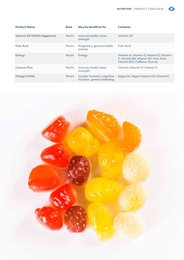| <b>Product Name</b>          | <b>Base</b> | May be beneficial for                                       | Contents                                                                                                              |
|------------------------------|-------------|-------------------------------------------------------------|-----------------------------------------------------------------------------------------------------------------------|
| Vitamin D3 1000IU Vegetarian | Pectin      | Immune health, bone<br>strength                             | Vitamin D3                                                                                                            |
| Folic Acid                   | Pectin      | Pregnancy, general health,<br>anemia                        | <b>Folic Acid</b>                                                                                                     |
| Energy                       | Pectin      | Energy                                                      | Vitamin A, Vitamin D, Vitamin E, Vitamin<br>C, Vitamin B6, Vitamin B7, Folic Acid,<br>Vitamin B12, Caffeine, Taurine. |
| Calcium Plus                 | Pectin      | Immune health, bone<br>strength                             | Calcium, Vitamin D, Vitamin K                                                                                         |
| Omega 3 DHA                  | Pectin      | Cardiac function, cognitive<br>function, general wellbeing. | Algae Oil, Vegan Vitamin D3, Vitamin E                                                                                |



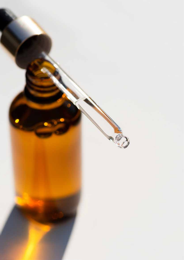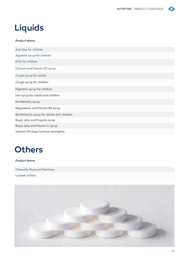## Liquids

### Product Name

| Anti Gas for children                      |
|--------------------------------------------|
| Appetite syrup for children                |
| DHA for children                           |
| Calcium and Vitamin D3 syrup               |
| Cough syrup for adults                     |
| Cough syrup for children                   |
| Digestion syrup for children               |
| Iron syrup for adults and children         |
| Kid Memory syrup                           |
| Magnesium and Vitamin B6 syrup             |
| MultiVitamin syrup for adults and children |
| Royal Jelly and Propolis syrup             |
| Royal Jelly and Vitamin C syrup            |
| Vitamin D3 drops (various strengths)       |

### **Others**

### Product Name

Chewable flavoured Dextrose

Lactase tablets

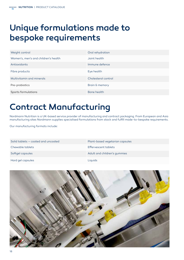### Unique formulations made to bespoke requirements

| Weight control                       | Oral rehydration    |
|--------------------------------------|---------------------|
| Women's, men's and children's health | Joint health        |
| Antioxidants                         | Immune defence      |
| Fibre products                       | Eye health          |
| Multivitamin and minerals            | Cholesterol control |
| Pre-probiotics                       | Brain & memory      |
| Sports formulations                  | Bone health         |

### Contract Manufacturing

Nordmann Nutrition is a UK-based service provider of manufacturing and contract packaging. From European and Asia manufacturing sites Nordmann supplies specialised formulations from stock and fulfill made-to-bespoke requirements.

Our manufacturing formats include:

| Solid tablets – coated and uncoated | Plant-based vegetarian capsules |
|-------------------------------------|---------------------------------|
| Chewable tablets                    | Effervescent tablets            |
| Softgel capsules                    | Adult and children's gummies    |
| Hard gel capsules                   | Liquids                         |

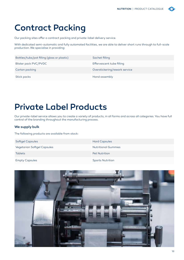

Our packing sites offer a contract packing and private-label delivery service.

With dedicated semi-automatic and fully automated facilities, we are able to deliver short runs through to full-scale production. We specialise in providing:

| Bottles/tubs/pot filling (glass or plastic) | Sachet filling                |
|---------------------------------------------|-------------------------------|
| Blister pack PVC/PVDC                       | Effervescent tube filling     |
| Carton packing                              | Overstickering/rework service |
| Stick packs                                 | Hand assembly                 |

### Private Label Products

Our private-label service allows you to create a variety of products, in all forms and across all categories. You have full control of the branding throughout the manufacturing process.

### We supply bulk

The following products are available from stock:

| Softgel Capsules            | <b>Hard Capsules</b>       |
|-----------------------------|----------------------------|
| Vegetarian Softgel Capsules | <b>Nutritional Gummies</b> |
| <b>Tablets</b>              | <b>Pet Nutrition</b>       |
| <b>Empty Capsules</b>       | <b>Sports Nutrition</b>    |

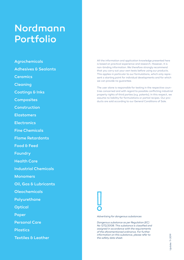## Nordmann Portfolio

- Agrochemicals
- Adhesives & Sealants
- **Ceramics**
- Cleaning
- Coatings & Inks
- **Composites**
- Construction
- Elastomers
- **Electronics**
- Fine Chemicals
- Flame Retardants
- Food & Feed
- Foundry
- Health Care
- Industrial Chemicals
- **Monomers**
- Oil, Gas & Lubricants
- Oleochemicals
- Polyurethane
- **Optical**
- Paper
- Personal Care
- **Plastics**
- Textiles & Leather

All the information and application knowledge presented here is based on practical experience and research. However, it is non-binding information. We therefore strongly recommend that you carry out your own tests before using our products. This applies in particular to our formulations, which only represent a starting point for individual developments and for which we can provide no guarantee.

The user alone is responsible for testing in the respective countries concerned and with regard to possible conflicting industrial property rights of third parties (e.g. patents). In this respect, we assume no liability for formulations or partial recipes. Our products are sold according to our General Conditions of Sale.

*Advertising for dangerous substances*

*Dangerous substance as per Regulation (EC) No 1272/2008. This substance is classified and assigned in accordance with the requirements of the aforementioned ordinance. For further information on this substance, please refer to the safety data sheet.*